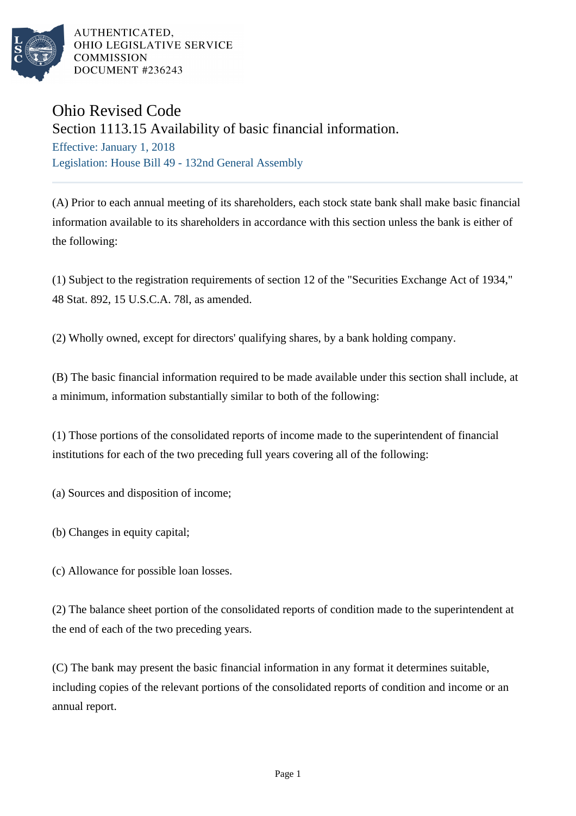

AUTHENTICATED. OHIO LEGISLATIVE SERVICE **COMMISSION** DOCUMENT #236243

## Ohio Revised Code

Section 1113.15 Availability of basic financial information.

Effective: January 1, 2018 Legislation: House Bill 49 - 132nd General Assembly

(A) Prior to each annual meeting of its shareholders, each stock state bank shall make basic financial information available to its shareholders in accordance with this section unless the bank is either of the following:

(1) Subject to the registration requirements of section 12 of the "Securities Exchange Act of 1934," 48 Stat. 892, 15 U.S.C.A. 78l, as amended.

(2) Wholly owned, except for directors' qualifying shares, by a bank holding company.

(B) The basic financial information required to be made available under this section shall include, at a minimum, information substantially similar to both of the following:

(1) Those portions of the consolidated reports of income made to the superintendent of financial institutions for each of the two preceding full years covering all of the following:

(a) Sources and disposition of income;

- (b) Changes in equity capital;
- (c) Allowance for possible loan losses.

(2) The balance sheet portion of the consolidated reports of condition made to the superintendent at the end of each of the two preceding years.

(C) The bank may present the basic financial information in any format it determines suitable, including copies of the relevant portions of the consolidated reports of condition and income or an annual report.